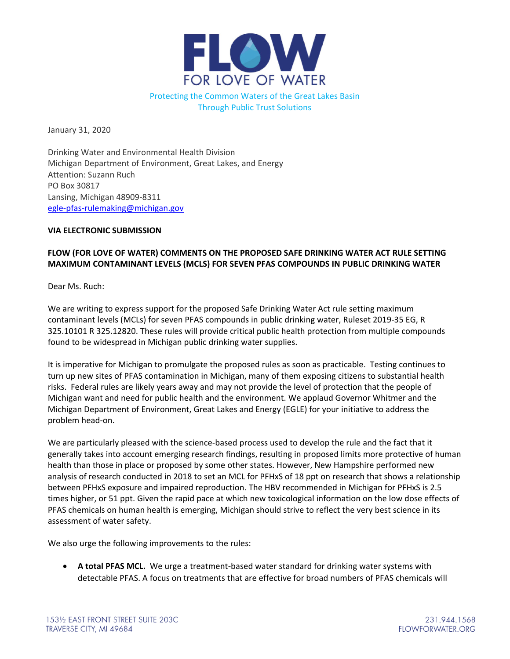

Through Public Trust Solutions

January 31, 2020

Drinking Water and Environmental Health Division Michigan Department of Environment, Great Lakes, and Energy Attention: Suzann Ruch PO Box 30817 Lansing, Michigan 48909‐8311 egle‐pfas‐rulemaking@michigan.gov

## **VIA ELECTRONIC SUBMISSION**

## **FLOW (FOR LOVE OF WATER) COMMENTS ON THE PROPOSED SAFE DRINKING WATER ACT RULE SETTING MAXIMUM CONTAMINANT LEVELS (MCLS) FOR SEVEN PFAS COMPOUNDS IN PUBLIC DRINKING WATER**

Dear Ms. Ruch:

We are writing to express support for the proposed Safe Drinking Water Act rule setting maximum contaminant levels (MCLs) for seven PFAS compounds in public drinking water, Ruleset 2019‐35 EG, R 325.10101 R 325.12820. These rules will provide critical public health protection from multiple compounds found to be widespread in Michigan public drinking water supplies.

It is imperative for Michigan to promulgate the proposed rules as soon as practicable. Testing continues to turn up new sites of PFAS contamination in Michigan, many of them exposing citizens to substantial health risks. Federal rules are likely years away and may not provide the level of protection that the people of Michigan want and need for public health and the environment. We applaud Governor Whitmer and the Michigan Department of Environment, Great Lakes and Energy (EGLE) for your initiative to address the problem head‐on.

We are particularly pleased with the science-based process used to develop the rule and the fact that it generally takes into account emerging research findings, resulting in proposed limits more protective of human health than those in place or proposed by some other states. However, New Hampshire performed new analysis of research conducted in 2018 to set an MCL for PFHxS of 18 ppt on research that shows a relationship between PFHxS exposure and impaired reproduction. The HBV recommended in Michigan for PFHxS is 2.5 times higher, or 51 ppt. Given the rapid pace at which new toxicological information on the low dose effects of PFAS chemicals on human health is emerging, Michigan should strive to reflect the very best science in its assessment of water safety.

We also urge the following improvements to the rules:

 **A total PFAS MCL.** We urge a treatment‐based water standard for drinking water systems with detectable PFAS. A focus on treatments that are effective for broad numbers of PFAS chemicals will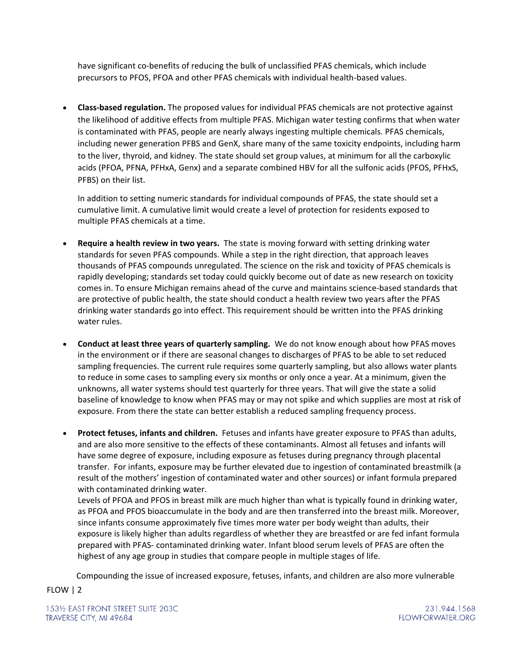have significant co-benefits of reducing the bulk of unclassified PFAS chemicals, which include precursors to PFOS, PFOA and other PFAS chemicals with individual health‐based values.

 **Class‐based regulation.** The proposed values for individual PFAS chemicals are not protective against the likelihood of additive effects from multiple PFAS. Michigan water testing confirms that when water is contaminated with PFAS, people are nearly always ingesting multiple chemicals. PFAS chemicals, including newer generation PFBS and GenX, share many of the same toxicity endpoints, including harm to the liver, thyroid, and kidney. The state should set group values, at minimum for all the carboxylic acids (PFOA, PFNA, PFHxA, Genx) and a separate combined HBV for all the sulfonic acids (PFOS, PFHxS, PFBS) on their list.

In addition to setting numeric standards for individual compounds of PFAS, the state should set a cumulative limit. A cumulative limit would create a level of protection for residents exposed to multiple PFAS chemicals at a time.

- **Require a health review in two years.** The state is moving forward with setting drinking water standards for seven PFAS compounds. While a step in the right direction, that approach leaves thousands of PFAS compounds unregulated. The science on the risk and toxicity of PFAS chemicals is rapidly developing; standards set today could quickly become out of date as new research on toxicity comes in. To ensure Michigan remains ahead of the curve and maintains science‐based standards that are protective of public health, the state should conduct a health review two years after the PFAS drinking water standards go into effect. This requirement should be written into the PFAS drinking water rules.
- **Conduct at least three years of quarterly sampling.** We do not know enough about how PFAS moves in the environment or if there are seasonal changes to discharges of PFAS to be able to set reduced sampling frequencies. The current rule requires some quarterly sampling, but also allows water plants to reduce in some cases to sampling every six months or only once a year. At a minimum, given the unknowns, all water systems should test quarterly for three years. That will give the state a solid baseline of knowledge to know when PFAS may or may not spike and which supplies are most at risk of exposure. From there the state can better establish a reduced sampling frequency process.
- **Protect fetuses, infants and children.** Fetuses and infants have greater exposure to PFAS than adults, and are also more sensitive to the effects of these contaminants. Almost all fetuses and infants will have some degree of exposure, including exposure as fetuses during pregnancy through placental transfer. For infants, exposure may be further elevated due to ingestion of contaminated breastmilk (a result of the mothers' ingestion of contaminated water and other sources) or infant formula prepared with contaminated drinking water.

Levels of PFOA and PFOS in breast milk are much higher than what is typically found in drinking water, as PFOA and PFOS bioaccumulate in the body and are then transferred into the breast milk. Moreover, since infants consume approximately five times more water per body weight than adults, their exposure is likely higher than adults regardless of whether they are breastfed or are fed infant formula prepared with PFAS‐ contaminated drinking water. Infant blood serum levels of PFAS are often the highest of any age group in studies that compare people in multiple stages of life.

Compounding the issue of increased exposure, fetuses, infants, and children are also more vulnerable

FLOW | 2